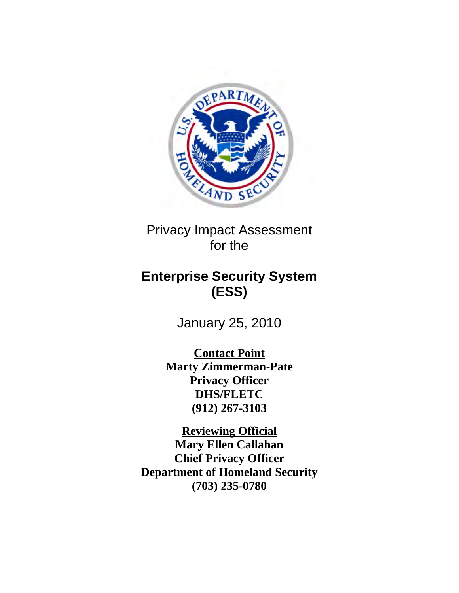

Privacy Impact Assessment for the

# **Enterprise Security System (ESS)**

January 25, 2010

**Contact Point Marty Zimmerman-Pate Privacy Officer DHS/FLETC (912) 267-3103** 

**Reviewing Official Mary Ellen Callahan Chief Privacy Officer Department of Homeland Security (703) 235-0780**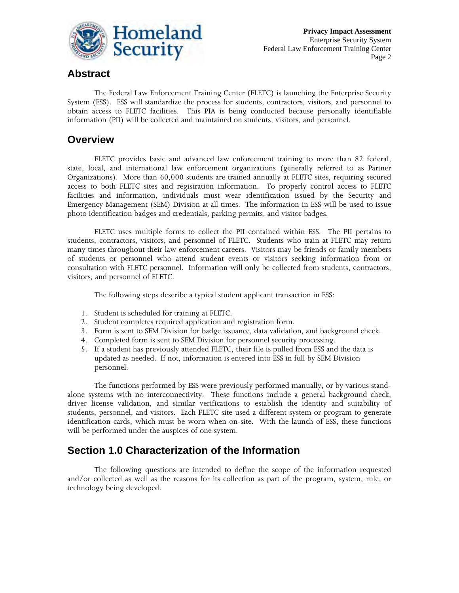

## **Abstract**

The Federal Law Enforcement Training Center (FLETC) is launching the Enterprise Security System (ESS). ESS will standardize the process for students, contractors, visitors, and personnel to obtain access to FLETC facilities. This PIA is being conducted because personally identifiable information (PII) will be collected and maintained on students, visitors, and personnel.

## **Overview**

FLETC provides basic and advanced law enforcement training to more than 82 federal, state, local, and international law enforcement organizations (generally referred to as Partner Organizations). More than 60,000 students are trained annually at FLETC sites, requiring secured access to both FLETC sites and registration information. To properly control access to FLETC facilities and information, individuals must wear identification issued by the Security and Emergency Management (SEM) Division at all times. The information in ESS will be used to issue photo identification badges and credentials, parking permits, and visitor badges.

FLETC uses multiple forms to collect the PII contained within ESS. The PII pertains to students, contractors, visitors, and personnel of FLETC. Students who train at FLETC may return many times throughout their law enforcement careers. Visitors may be friends or family members of students or personnel who attend student events or visitors seeking information from or consultation with FLETC personnel. Information will only be collected from students, contractors, visitors, and personnel of FLETC.

The following steps describe a typical student applicant transaction in ESS:

- 1. Student is scheduled for training at FLETC.
- 2. Student completes required application and registration form.
- 3. Form is sent to SEM Division for badge issuance, data validation, and background check.
- 4. Completed form is sent to SEM Division for personnel security processing.
- 5. If a student has previously attended FLETC, their file is pulled from ESS and the data is updated as needed. If not, information is entered into ESS in full by SEM Division personnel.

The functions performed by ESS were previously performed manually, or by various standalone systems with no interconnectivity. These functions include a general background check, driver license validation, and similar verifications to establish the identity and suitability of students, personnel, and visitors. Each FLETC site used a different system or program to generate identification cards, which must be worn when on-site. With the launch of ESS, these functions will be performed under the auspices of one system.

# **Section 1.0 Characterization of the Information**

The following questions are intended to define the scope of the information requested and/or collected as well as the reasons for its collection as part of the program, system, rule, or technology being developed.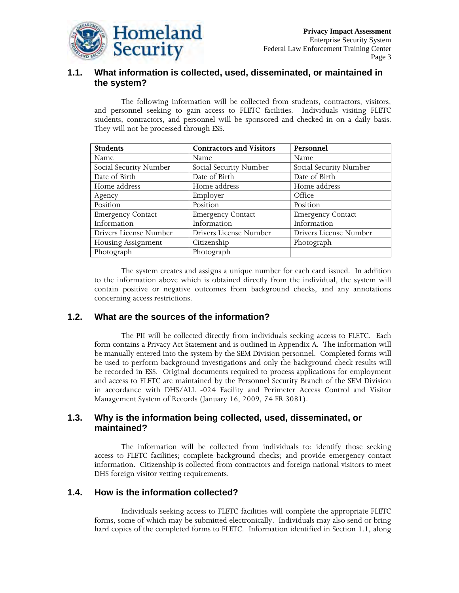

### **1.1. What information is collected, used, disseminated, or maintained in the system?**

The following information will be collected from students, contractors, visitors, and personnel seeking to gain access to FLETC facilities. Individuals visiting FLETC students, contractors, and personnel will be sponsored and checked in on a daily basis. They will not be processed through ESS.

| <b>Students</b>          | <b>Contractors and Visitors</b> | Personnel                |
|--------------------------|---------------------------------|--------------------------|
| Name                     | Name                            | Name                     |
| Social Security Number   | Social Security Number          | Social Security Number   |
| Date of Birth            | Date of Birth                   | Date of Birth            |
| Home address             | Home address                    | Home address             |
| Agency                   | Employer                        | Office                   |
| Position                 | Position                        | Position                 |
| <b>Emergency Contact</b> | <b>Emergency Contact</b>        | <b>Emergency Contact</b> |
| Information              | Information                     | Information              |
| Drivers License Number   | Drivers License Number          | Drivers License Number   |
| Housing Assignment       | Citizenship                     | Photograph               |
| Photograph               | Photograph                      |                          |

The system creates and assigns a unique number for each card issued. In addition to the information above which is obtained directly from the individual, the system will contain positive or negative outcomes from background checks, and any annotations concerning access restrictions.

### **1.2. What are the sources of the information?**

The PII will be collected directly from individuals seeking access to FLETC. Each form contains a Privacy Act Statement and is outlined in Appendix A. The information will be manually entered into the system by the SEM Division personnel. Completed forms will be used to perform background investigations and only the background check results will be recorded in ESS. Original documents required to process applications for employment and access to FLETC are maintained by the Personnel Security Branch of the SEM Division in accordance with DHS/ALL -024 Facility and Perimeter Access Control and Visitor Management System of Records (January 16, 2009, 74 FR 3081).

### **1.3. Why is the information being collected, used, disseminated, or maintained?**

The information will be collected from individuals to: identify those seeking access to FLETC facilities; complete background checks; and provide emergency contact information. Citizenship is collected from contractors and foreign national visitors to meet DHS foreign visitor vetting requirements.

### **1.4. How is the information collected?**

Individuals seeking access to FLETC facilities will complete the appropriate FLETC forms, some of which may be submitted electronically. Individuals may also send or bring hard copies of the completed forms to FLETC. Information identified in Section 1.1, along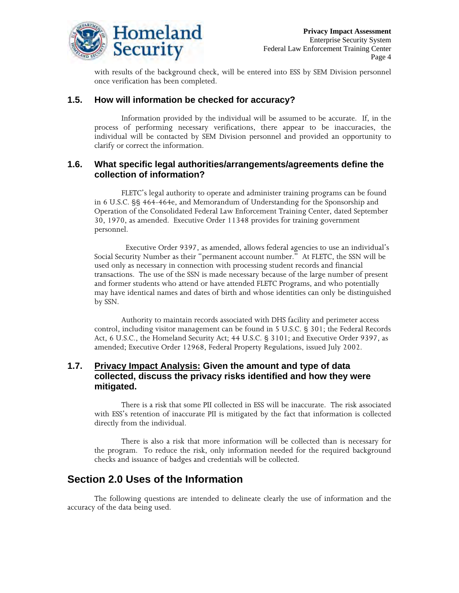

with results of the background check, will be entered into ESS by SEM Division personnel once verification has been completed.

### **1.5. How will information be checked for accuracy?**

Information provided by the individual will be assumed to be accurate. If, in the process of performing necessary verifications, there appear to be inaccuracies, the individual will be contacted by SEM Division personnel and provided an opportunity to clarify or correct the information.

### **1.6. What specific legal authorities/arrangements/agreements define the collection of information?**

FLETC's legal authority to operate and administer training programs can be found in 6 U.S.C. §§ 464-464e, and Memorandum of Understanding for the Sponsorship and Operation of the Consolidated Federal Law Enforcement Training Center, dated September 30, 1970, as amended. Executive Order 11348 provides for training government personnel.

 Executive Order 9397, as amended, allows federal agencies to use an individual's Social Security Number as their "permanent account number." At FLETC, the SSN will be used only as necessary in connection with processing student records and financial transactions. The use of the SSN is made necessary because of the large number of present and former students who attend or have attended FLETC Programs, and who potentially may have identical names and dates of birth and whose identities can only be distinguished by SSN.

Authority to maintain records associated with DHS facility and perimeter access control, including visitor management can be found in 5 U.S.C. § 301; the Federal Records Act, 6 U.S.C., the Homeland Security Act; 44 U.S.C. § 3101; and Executive Order 9397, as amended; Executive Order 12968, Federal Property Regulations, issued July 2002.

### **1.7. Privacy Impact Analysis: Given the amount and type of data collected, discuss the privacy risks identified and how they were mitigated.**

 There is a risk that some PII collected in ESS will be inaccurate. The risk associated with ESS's retention of inaccurate PII is mitigated by the fact that information is collected directly from the individual.

There is also a risk that more information will be collected than is necessary for the program. To reduce the risk, only information needed for the required background checks and issuance of badges and credentials will be collected.

### **Section 2.0 Uses of the Information**

 The following questions are intended to delineate clearly the use of information and the accuracy of the data being used.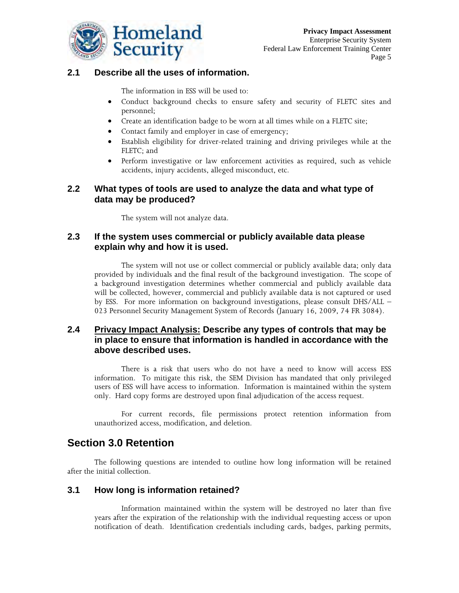

### **2.1 Describe all the uses of information.**

The information in ESS will be used to:

- Conduct background checks to ensure safety and security of FLETC sites and personnel;
- Create an identification badge to be worn at all times while on a FLETC site;
- Contact family and employer in case of emergency;
- Establish eligibility for driver-related training and driving privileges while at the FLETC; and
- Perform investigative or law enforcement activities as required, such as vehicle accidents, injury accidents, alleged misconduct, etc.

### **2.2 What types of tools are used to analyze the data and what type of data may be produced?**

The system will not analyze data.

### **2.3 If the system uses commercial or publicly available data please explain why and how it is used.**

The system will not use or collect commercial or publicly available data; only data provided by individuals and the final result of the background investigation. The scope of a background investigation determines whether commercial and publicly available data will be collected, however, commercial and publicly available data is not captured or used by ESS. For more information on background investigations, please consult DHS/ALL – 023 Personnel Security Management System of Records (January 16, 2009, 74 FR 3084).

### **2.4 Privacy Impact Analysis: Describe any types of controls that may be in place to ensure that information is handled in accordance with the above described uses.**

There is a risk that users who do not have a need to know will access ESS information. To mitigate this risk, the SEM Division has mandated that only privileged users of ESS will have access to information. Information is maintained within the system only. Hard copy forms are destroyed upon final adjudication of the access request.

For current records, file permissions protect retention information from unauthorized access, modification, and deletion.

# **Section 3.0 Retention**

The following questions are intended to outline how long information will be retained after the initial collection.

### **3.1 How long is information retained?**

 Information maintained within the system will be destroyed no later than five years after the expiration of the relationship with the individual requesting access or upon notification of death. Identification credentials including cards, badges, parking permits,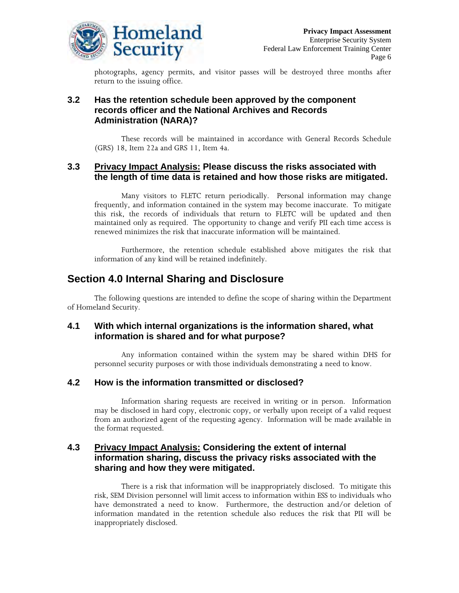

photographs, agency permits, and visitor passes will be destroyed three months after return to the issuing office.

### **3.2 Has the retention schedule been approved by the component records officer and the National Archives and Records Administration (NARA)?**

These records will be maintained in accordance with General Records Schedule (GRS) 18, Item 22a and GRS 11, Item 4a.

### **3.3 Privacy Impact Analysis: Please discuss the risks associated with the length of time data is retained and how those risks are mitigated.**

Many visitors to FLETC return periodically. Personal information may change frequently, and information contained in the system may become inaccurate. To mitigate this risk, the records of individuals that return to FLETC will be updated and then maintained only as required. The opportunity to change and verify PII each time access is renewed minimizes the risk that inaccurate information will be maintained.

Furthermore, the retention schedule established above mitigates the risk that information of any kind will be retained indefinitely.

## **Section 4.0 Internal Sharing and Disclosure**

The following questions are intended to define the scope of sharing within the Department of Homeland Security.

### **4.1 With which internal organizations is the information shared, what information is shared and for what purpose?**

Any information contained within the system may be shared within DHS for personnel security purposes or with those individuals demonstrating a need to know.

### **4.2 How is the information transmitted or disclosed?**

Information sharing requests are received in writing or in person. Information may be disclosed in hard copy, electronic copy, or verbally upon receipt of a valid request from an authorized agent of the requesting agency. Information will be made available in the format requested.

### **4.3 Privacy Impact Analysis: Considering the extent of internal information sharing, discuss the privacy risks associated with the sharing and how they were mitigated.**

There is a risk that information will be inappropriately disclosed. To mitigate this risk, SEM Division personnel will limit access to information within ESS to individuals who have demonstrated a need to know. Furthermore, the destruction and/or deletion of information mandated in the retention schedule also reduces the risk that PII will be inappropriately disclosed.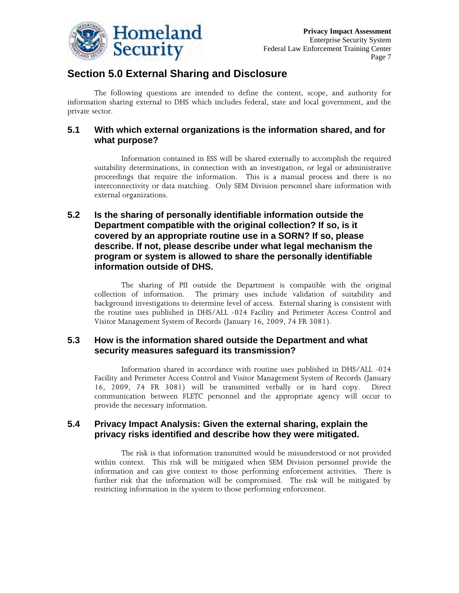

# **Section 5.0 External Sharing and Disclosure**

The following questions are intended to define the content, scope, and authority for information sharing external to DHS which includes federal, state and local government, and the private sector.

### **5.1 With which external organizations is the information shared, and for what purpose?**

Information contained in ESS will be shared externally to accomplish the required suitability determinations, in connection with an investigation, or legal or administrative proceedings that require the information. This is a manual process and there is no interconnectivity or data matching. Only SEM Division personnel share information with external organizations.

### **5.2 Is the sharing of personally identifiable information outside the Department compatible with the original collection? If so, is it covered by an appropriate routine use in a SORN? If so, please describe. If not, please describe under what legal mechanism the program or system is allowed to share the personally identifiable information outside of DHS.**

The sharing of PII outside the Department is compatible with the original collection of information. The primary uses include validation of suitability and background investigations to determine level of access. External sharing is consistent with the routine uses published in DHS/ALL -024 Facility and Perimeter Access Control and Visitor Management System of Records (January 16, 2009, 74 FR 3081).

### **5.3 How is the information shared outside the Department and what security measures safeguard its transmission?**

Information shared in accordance with routine uses published in DHS/ALL -024 Facility and Perimeter Access Control and Visitor Management System of Records (January 16, 2009, 74 FR 3081) will be transmitted verbally or in hard copy. Direct communication between FLETC personnel and the appropriate agency will occur to provide the necessary information.

### **5.4 Privacy Impact Analysis: Given the external sharing, explain the privacy risks identified and describe how they were mitigated.**

The risk is that information transmitted would be misunderstood or not provided within context. This risk will be mitigated when SEM Division personnel provide the information and can give context to those performing enforcement activities. There is further risk that the information will be compromised. The risk will be mitigated by restricting information in the system to those performing enforcement.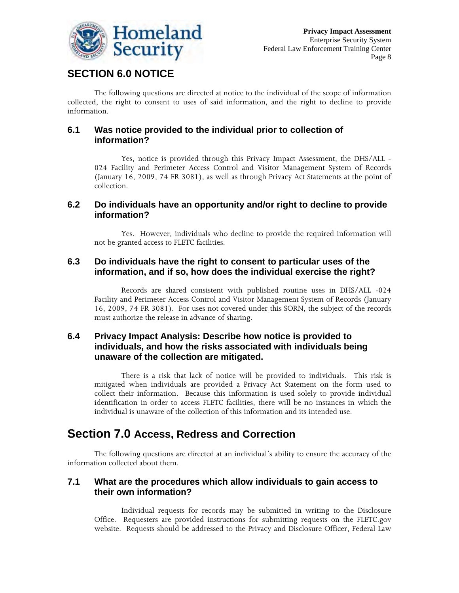

# **SECTION 6.0 NOTICE**

The following questions are directed at notice to the individual of the scope of information collected, the right to consent to uses of said information, and the right to decline to provide information.

### **6.1 Was notice provided to the individual prior to collection of information?**

Yes, notice is provided through this Privacy Impact Assessment, the DHS/ALL - 024 Facility and Perimeter Access Control and Visitor Management System of Records (January 16, 2009, 74 FR 3081), as well as through Privacy Act Statements at the point of collection.

### **6.2 Do individuals have an opportunity and/or right to decline to provide information?**

Yes. However, individuals who decline to provide the required information will not be granted access to FLETC facilities.

### **6.3 Do individuals have the right to consent to particular uses of the information, and if so, how does the individual exercise the right?**

Records are shared consistent with published routine uses in DHS/ALL -024 Facility and Perimeter Access Control and Visitor Management System of Records (January 16, 2009, 74 FR 3081). For uses not covered under this SORN, the subject of the records must authorize the release in advance of sharing.

### **6.4 Privacy Impact Analysis: Describe how notice is provided to individuals, and how the risks associated with individuals being unaware of the collection are mitigated.**

There is a risk that lack of notice will be provided to individuals. This risk is mitigated when individuals are provided a Privacy Act Statement on the form used to collect their information. Because this information is used solely to provide individual identification in order to access FLETC facilities, there will be no instances in which the individual is unaware of the collection of this information and its intended use.

# **Section 7.0 Access, Redress and Correction**

The following questions are directed at an individual's ability to ensure the accuracy of the information collected about them.

### **7.1 What are the procedures which allow individuals to gain access to their own information?**

Individual requests for records may be submitted in writing to the Disclosure Office. Requesters are provided instructions for submitting requests on the FLETC.gov website. Requests should be addressed to the Privacy and Disclosure Officer, Federal Law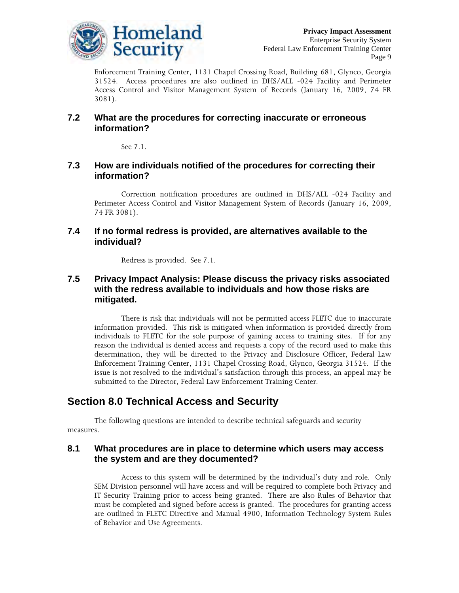

Enforcement Training Center, 1131 Chapel Crossing Road, Building 681, Glynco, Georgia 31524. Access procedures are also outlined in DHS/ALL -024 Facility and Perimeter Access Control and Visitor Management System of Records (January 16, 2009, 74 FR 3081).

### **7.2 What are the procedures for correcting inaccurate or erroneous information?**

See 7.1.

### **7.3 How are individuals notified of the procedures for correcting their information?**

Correction notification procedures are outlined in DHS/ALL -024 Facility and Perimeter Access Control and Visitor Management System of Records (January 16, 2009, 74 FR 3081).

### **7.4 If no formal redress is provided, are alternatives available to the individual?**

Redress is provided. See 7.1.

### **7.5 Privacy Impact Analysis: Please discuss the privacy risks associated with the redress available to individuals and how those risks are mitigated.**

There is risk that individuals will not be permitted access FLETC due to inaccurate information provided. This risk is mitigated when information is provided directly from individuals to FLETC for the sole purpose of gaining access to training sites. If for any reason the individual is denied access and requests a copy of the record used to make this determination, they will be directed to the Privacy and Disclosure Officer, Federal Law Enforcement Training Center, 1131 Chapel Crossing Road, Glynco, Georgia 31524. If the issue is not resolved to the individual's satisfaction through this process, an appeal may be submitted to the Director, Federal Law Enforcement Training Center.

# **Section 8.0 Technical Access and Security**

The following questions are intended to describe technical safeguards and security measures.

### **8.1 What procedures are in place to determine which users may access the system and are they documented?**

Access to this system will be determined by the individual's duty and role. Only SEM Division personnel will have access and will be required to complete both Privacy and IT Security Training prior to access being granted. There are also Rules of Behavior that must be completed and signed before access is granted. The procedures for granting access are outlined in FLETC Directive and Manual 4900, Information Technology System Rules of Behavior and Use Agreements.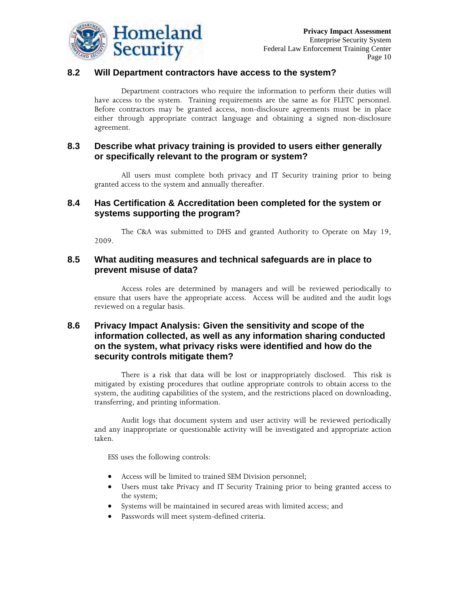

### **8.2 Will Department contractors have access to the system?**

Department contractors who require the information to perform their duties will have access to the system. Training requirements are the same as for FLETC personnel. Before contractors may be granted access, non-disclosure agreements must be in place either through appropriate contract language and obtaining a signed non-disclosure agreement.

### **8.3 Describe what privacy training is provided to users either generally or specifically relevant to the program or system?**

All users must complete both privacy and IT Security training prior to being granted access to the system and annually thereafter.

### **8.4 Has Certification & Accreditation been completed for the system or systems supporting the program?**

The C&A was submitted to DHS and granted Authority to Operate on May 19, 2009.

### **8.5 What auditing measures and technical safeguards are in place to prevent misuse of data?**

Access roles are determined by managers and will be reviewed periodically to ensure that users have the appropriate access. Access will be audited and the audit logs reviewed on a regular basis.

### **8.6 Privacy Impact Analysis: Given the sensitivity and scope of the information collected, as well as any information sharing conducted on the system, what privacy risks were identified and how do the security controls mitigate them?**

There is a risk that data will be lost or inappropriately disclosed. This risk is mitigated by existing procedures that outline appropriate controls to obtain access to the system, the auditing capabilities of the system, and the restrictions placed on downloading, transferring, and printing information.

Audit logs that document system and user activity will be reviewed periodically and any inappropriate or questionable activity will be investigated and appropriate action taken.

ESS uses the following controls:

- Access will be limited to trained SEM Division personnel;
- Users must take Privacy and IT Security Training prior to being granted access to the system;
- Systems will be maintained in secured areas with limited access; and
- Passwords will meet system-defined criteria.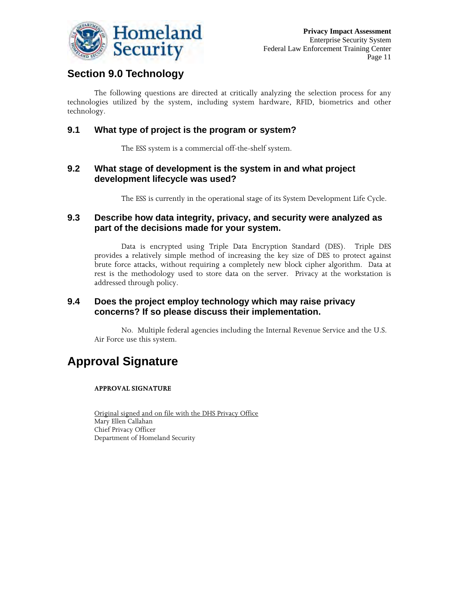

# **Section 9.0 Technology**

The following questions are directed at critically analyzing the selection process for any technologies utilized by the system, including system hardware, RFID, biometrics and other technology.

### **9.1 What type of project is the program or system?**

The ESS system is a commercial off-the-shelf system.

### **9.2 What stage of development is the system in and what project development lifecycle was used?**

The ESS is currently in the operational stage of its System Development Life Cycle.

### **9.3 Describe how data integrity, privacy, and security were analyzed as part of the decisions made for your system.**

Data is encrypted using Triple Data Encryption Standard (DES). Triple DES provides a relatively simple method of increasing the [key size](http://en.wikipedia.org/wiki/Key_size) of DES to protect against [brute force attacks](http://en.wikipedia.org/wiki/Brute_force_attack), without requiring a completely new block cipher algorithm. Data at rest is the methodology used to store data on the server. Privacy at the workstation is addressed through policy.

### **9.4 Does the project employ technology which may raise privacy concerns? If so please discuss their implementation.**

No. Multiple federal agencies including the Internal Revenue Service and the U.S. Air Force use this system.

# **Approval Signature**

#### **APPROVAL SIGNATURE**

Original signed and on file with the DHS Privacy Office Mary Ellen Callahan Chief Privacy Officer Department of Homeland Security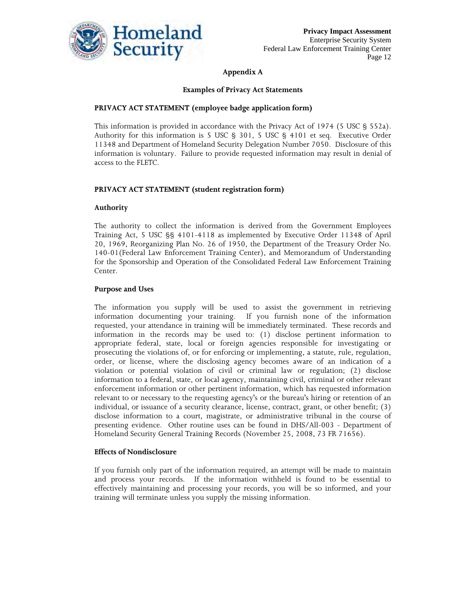

#### **Appendix A**

#### **Examples of Privacy Act Statements**

#### **PRIVACY ACT STATEMENT (employee badge application form)**

This information is provided in accordance with the Privacy Act of 1974 (5 USC § 552a). Authority for this information is 5 USC § 301, 5 USC § 4101 et seq. Executive Order 11348 and Department of Homeland Security Delegation Number 7050. Disclosure of this information is voluntary. Failure to provide requested information may result in denial of access to the FLETC.

#### **PRIVACY ACT STATEMENT (student registration form)**

#### **Authority**

The authority to collect the information is derived from the Government Employees Training Act, 5 USC §§ 4101-4118 as implemented by Executive Order 11348 of April 20, 1969, Reorganizing Plan No. 26 of 1950, the Department of the Treasury Order No. 140-01(Federal Law Enforcement Training Center), and Memorandum of Understanding for the Sponsorship and Operation of the Consolidated Federal Law Enforcement Training Center.

#### **Purpose and Uses**

The information you supply will be used to assist the government in retrieving information documenting your training. If you furnish none of the information requested, your attendance in training will be immediately terminated. These records and information in the records may be used to: (1) disclose pertinent information to appropriate federal, state, local or foreign agencies responsible for investigating or prosecuting the violations of, or for enforcing or implementing, a statute, rule, regulation, order, or license, where the disclosing agency becomes aware of an indication of a violation or potential violation of civil or criminal law or regulation; (2) disclose information to a federal, state, or local agency, maintaining civil, criminal or other relevant enforcement information or other pertinent information, which has requested information relevant to or necessary to the requesting agency's or the bureau's hiring or retention of an individual, or issuance of a security clearance, license, contract, grant, or other benefit; (3) disclose information to a court, magistrate, or administrative tribunal in the course of presenting evidence. Other routine uses can be found in DHS/All-003 - Department of Homeland Security General Training Records (November 25, 2008, 73 FR 71656).

#### **Effects of Nondisclosure**

If you furnish only part of the information required, an attempt will be made to maintain and process your records. If the information withheld is found to be essential to effectively maintaining and processing your records, you will be so informed, and your training will terminate unless you supply the missing information.